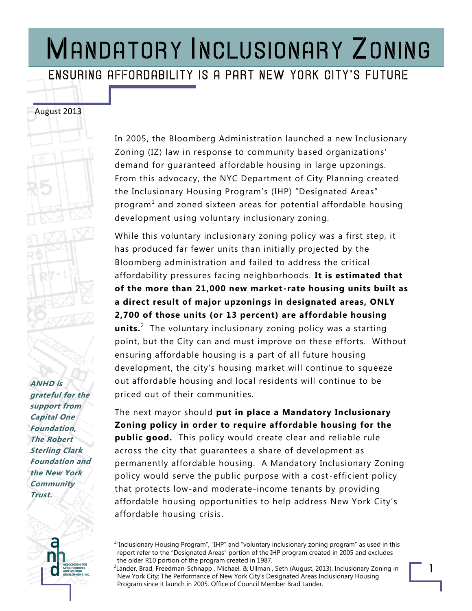#### ENSURING AFFORDABILITY IS A PART NEW YORK CITY'S FUTURE

**ANHD is grateful for the support from Capital One Foundation, The Robert Sterling Clark Foundation and the New York Community Trust.** 

August 2013

In 2005, the Bloomberg Administration launched a new Inclusionary Zoning (IZ) law in response to community based organizations' demand for guaranteed affordable housing in large upzonings. From this advocacy, the NYC Department of City Planning created the Inclusionary Housing Program's (IHP) "Designated Areas" program $^{\rm 1}$  and zoned sixteen areas for potential affordable housing development using voluntary inclusionary zoning.

While this voluntary inclusionary zoning policy was a first step, it has produced far fewer units than initially projected by the Bloomberg administration and failed to address the critical affordability pressures facing neighborhoods. **It is estimated that of the more than 21,000 new market -rate housing units built as a direct result of major upzonings in designated areas, ONLY 2,700 of those units (or 13 percent) are affordable housing units.**<sup>2</sup> The voluntary inclusionary zoning policy was a starting point, but the City can and must improve on these efforts. Without ensuring affordable housing is a part of all future housing development, the city's housing market will continue to squeeze out affordable housing and local residents will continue to be priced out of their communities.

The next mayor should **put in place a Mandatory Inclusionary Zoning policy in order to require affordable housing for the public good.** This policy would create clear and reliable rule across the city that guarantees a share of development as permanently affordable housing. A Mandatory Inclusionary Zoning policy would serve the public purpose with a cost -efficient policy that protects low-and moderate-income tenants by providing affordable housing opportunities to help address New York City's affordable housing crisis.

<sup>&</sup>lt;sup>1</sup> "Inclusionary Housing Program", "IHP" and "voluntary inclusionary zoning program" as used in this report refer to the "Designated Areas" portion of the IHP program created in 2005 and excludes the older R10 portion of the program created in 1987.

<sup>&</sup>lt;sup>2</sup>Lander, Brad, Freedman-Schnapp , Michael, & Ullman , Seth (August, 2013). Inclusionary Zoning in New York City: The Performance of New York City's Designated Areas Inclusionary Housing Program since it launch in 2005. Office of Council Member Brad Lander.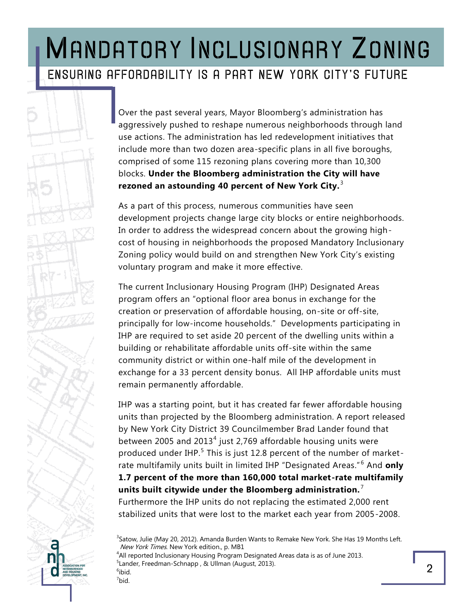### MANDATORY INCLUSIONARY ZONING ENSURING AFFORDABILITY IS A PART NEW YORK CITY'S FUTURE

Over the past several years, Mayor Bloomberg's administration has aggressively pushed to reshape numerous neighborhoods through land use actions. The administration has led redevelopment initiatives that include more than two dozen area-specific plans in all five boroughs, comprised of some 115 rezoning plans covering more than 10,300 blocks. **Under the Bloomberg administration the City will have**  rezoned an astounding 40 percent of New York City.<sup>3</sup>

As a part of this process, numerous communities have seen development projects change large city blocks or entire neighborhoods. In order to address the widespread concern about the growing highcost of housing in neighborhoods the proposed Mandatory Inclusionary Zoning policy would build on and strengthen New York City's existing voluntary program and make it more effective.

The current Inclusionary Housing Program (IHP) Designated Areas program offers an "optional floor area bonus in exchange for the creation or preservation of affordable housing, on-site or off-site, principally for low-income households." Developments participating in IHP are required to set aside 20 percent of the dwelling units within a building or rehabilitate affordable units off-site within the same community district or within one-half mile of the development in exchange for a 33 percent density bonus. All IHP affordable units must remain permanently affordable.

IHP was a starting point, but it has created far fewer affordable housing units than projected by the Bloomberg administration. A report released by New York City District 39 Councilmember Brad Lander found that between 2005 and 2013<sup>4</sup> just 2,769 affordable housing units were produced under IHP.<sup>5</sup> This is just 12.8 percent of the number of marketrate multifamily units built in limited IHP "Designated Areas." <sup>6</sup> And **only 1.7 percent of the more than 160,000 total market-rate multifamily units built citywide under the Bloomberg administration.** <sup>7</sup> Furthermore the IHP units do not replacing the estimated 2,000 rent stabilized units that were lost to the market each year from 2005-2008.

<sup>3</sup>Satow, Julie (May 20, 2012). Amanda Burden Wants to Remake New York. She Has 19 Months Left. New York Times. New York edition., p. MB1 <sup>4</sup>All reported Inclusionary Housing Program Designated Areas data is as of June 2013. <sup>5</sup> Lander, Freedman-Schnapp , & Ullman (August, 2013).  $6$ ibid.  $7$ bid.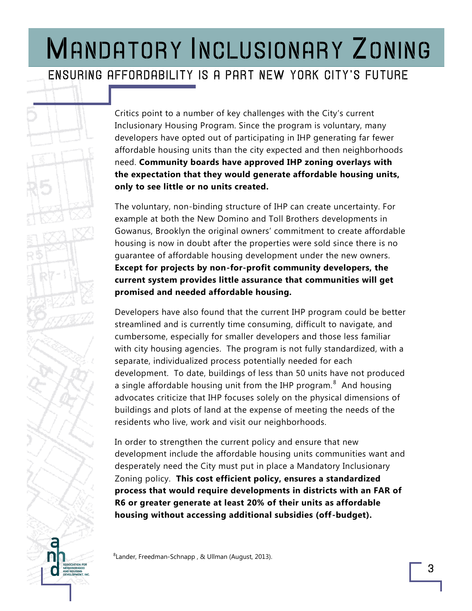#### ENSURING AFFORDABILITY IS A PART NEW YORK CITY'S FUTURE

Critics point to a number of key challenges with the City's current Inclusionary Housing Program. Since the program is voluntary, many developers have opted out of participating in IHP generating far fewer affordable housing units than the city expected and then neighborhoods need. **Community boards have approved IHP zoning overlays with the expectation that they would generate affordable housing units, only to see little or no units created.** 

The voluntary, non-binding structure of IHP can create uncertainty. For example at both the New Domino and Toll Brothers developments in Gowanus, Brooklyn the original owners' commitment to create affordable housing is now in doubt after the properties were sold since there is no guarantee of affordable housing development under the new owners. **Except for projects by non-for-profit community developers, the current system provides little assurance that communities will get promised and needed affordable housing.** 

Developers have also found that the current IHP program could be better streamlined and is currently time consuming, difficult to navigate, and cumbersome, especially for smaller developers and those less familiar with city housing agencies. The program is not fully standardized, with a separate, individualized process potentially needed for each development. To date, buildings of less than 50 units have not produced a single affordable housing unit from the IHP program. $^8$  And housing advocates criticize that IHP focuses solely on the physical dimensions of buildings and plots of land at the expense of meeting the needs of the residents who live, work and visit our neighborhoods.

In order to strengthen the current policy and ensure that new development include the affordable housing units communities want and desperately need the City must put in place a Mandatory Inclusionary Zoning policy. **This cost efficient policy, ensures a standardized process that would require developments in districts with an FAR of R6 or greater generate at least 20% of their units as affordable housing without accessing additional subsidies (off-budget).** 

<sup>8</sup> Lander, Freedman-Schnapp , & Ullman (August, 2013).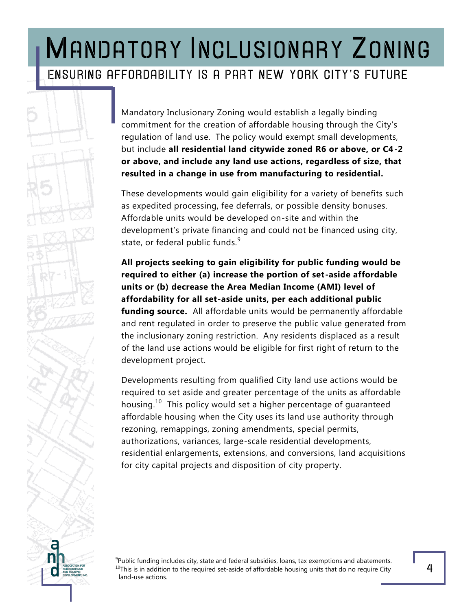### MANDATORY INCLUSIONARY ZONING ENSURING AFFORDABILITY IS A PART NEW YORK CITY'S FUTURE

Mandatory Inclusionary Zoning would establish a legally binding commitment for the creation of affordable housing through the City's regulation of land use. The policy would exempt small developments, but include **all residential land citywide zoned R6 or above, or C4-2 or above, and include any land use actions, regardless of size, that resulted in a change in use from manufacturing to residential.**

These developments would gain eligibility for a variety of benefits such as expedited processing, fee deferrals, or possible density bonuses. Affordable units would be developed on-site and within the development's private financing and could not be financed using city, state, or federal public funds.<sup>9</sup>

**All projects seeking to gain eligibility for public funding would be required to either (a) increase the portion of set-aside affordable units or (b) decrease the Area Median Income (AMI) level of affordability for all set-aside units, per each additional public funding source.** All affordable units would be permanently affordable and rent regulated in order to preserve the public value generated from the inclusionary zoning restriction. Any residents displaced as a result of the land use actions would be eligible for first right of return to the development project.

Developments resulting from qualified City land use actions would be required to set aside and greater percentage of the units as affordable housing.<sup>10</sup> This policy would set a higher percentage of guaranteed affordable housing when the City uses its land use authority through rezoning, remappings, zoning amendments, special permits, authorizations, variances, large-scale residential developments, residential enlargements, extensions, and conversions, land acquisitions for city capital projects and disposition of city property.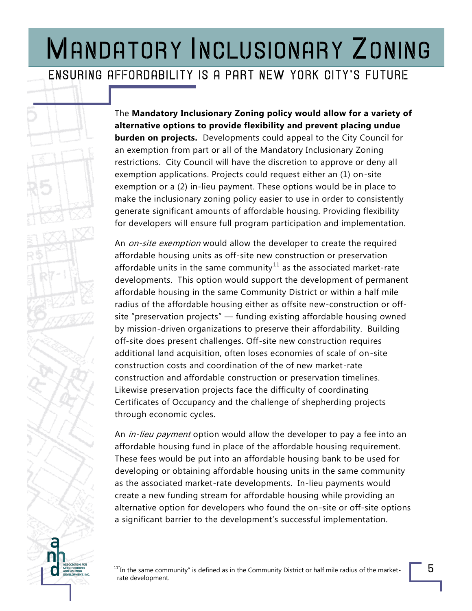#### ENSURING AFFORDABILITY IS A PART NEW YORK CITY'S FUTURE

The **Mandatory Inclusionary Zoning policy would allow for a variety of alternative options to provide flexibility and prevent placing undue burden on projects.** Developments could appeal to the City Council for an exemption from part or all of the Mandatory Inclusionary Zoning restrictions. City Council will have the discretion to approve or deny all exemption applications. Projects could request either an (1) on-site exemption or a (2) in-lieu payment. These options would be in place to make the inclusionary zoning policy easier to use in order to consistently generate significant amounts of affordable housing. Providing flexibility for developers will ensure full program participation and implementation.

An on-site exemption would allow the developer to create the required affordable housing units as off-site new construction or preservation affordable units in the same community<sup>11</sup> as the associated market-rate developments. This option would support the development of permanent affordable housing in the same Community District or within a half mile radius of the affordable housing either as offsite new-construction or offsite "preservation projects" — funding existing affordable housing owned by mission-driven organizations to preserve their affordability. Building off-site does present challenges. Off-site new construction requires additional land acquisition, often loses economies of scale of on-site construction costs and coordination of the of new market-rate construction and affordable construction or preservation timelines. Likewise preservation projects face the difficulty of coordinating Certificates of Occupancy and the challenge of shepherding projects through economic cycles.

An *in-lieu payment* option would allow the developer to pay a fee into an affordable housing fund in place of the affordable housing requirement. These fees would be put into an affordable housing bank to be used for developing or obtaining affordable housing units in the same community as the associated market-rate developments. In-lieu payments would create a new funding stream for affordable housing while providing an alternative option for developers who found the on-site or off-site options a significant barrier to the development's successful implementation.

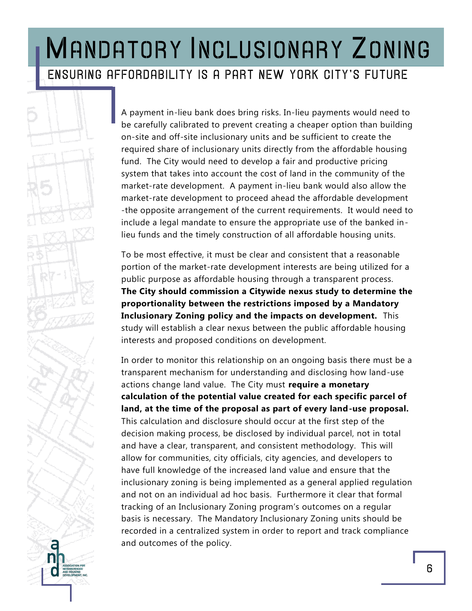### MANDATORY INCLUSIONARY ZONING ENSURING AFFORDABILITY IS A PART NEW YORK CITY'S FUTURE

A payment in-lieu bank does bring risks. In-lieu payments would need to be carefully calibrated to prevent creating a cheaper option than building on-site and off-site inclusionary units and be sufficient to create the required share of inclusionary units directly from the affordable housing fund. The City would need to develop a fair and productive pricing system that takes into account the cost of land in the community of the market-rate development. A payment in-lieu bank would also allow the market-rate development to proceed ahead the affordable development -the opposite arrangement of the current requirements. It would need to include a legal mandate to ensure the appropriate use of the banked inlieu funds and the timely construction of all affordable housing units.

To be most effective, it must be clear and consistent that a reasonable portion of the market-rate development interests are being utilized for a public purpose as affordable housing through a transparent process. **The City should commission a Citywide nexus study to determine the proportionality between the restrictions imposed by a Mandatory Inclusionary Zoning policy and the impacts on development.** This study will establish a clear nexus between the public affordable housing interests and proposed conditions on development.

In order to monitor this relationship on an ongoing basis there must be a transparent mechanism for understanding and disclosing how land-use actions change land value. The City must **require a monetary calculation of the potential value created for each specific parcel of land, at the time of the proposal as part of every land-use proposal.** This calculation and disclosure should occur at the first step of the decision making process, be disclosed by individual parcel, not in total and have a clear, transparent, and consistent methodology. This will allow for communities, city officials, city agencies, and developers to have full knowledge of the increased land value and ensure that the inclusionary zoning is being implemented as a general applied regulation and not on an individual ad hoc basis. Furthermore it clear that formal tracking of an Inclusionary Zoning program's outcomes on a regular basis is necessary. The Mandatory Inclusionary Zoning units should be recorded in a centralized system in order to report and track compliance and outcomes of the policy.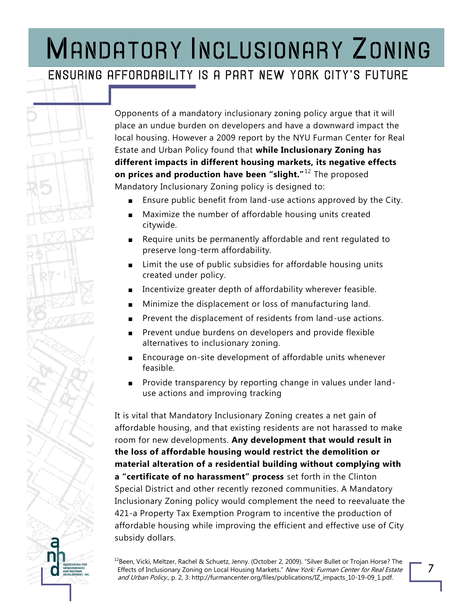#### ENSURING AFFORDABILITY IS A PART NEW YORK CITY'S FUTURE

Opponents of a mandatory inclusionary zoning policy argue that it will place an undue burden on developers and have a downward impact the local housing. However a 2009 report by the NYU Furman Center for Real Estate and Urban Policy found that **while Inclusionary Zoning has different impacts in different housing markets, its negative effects on prices and production have been "slight.**"<sup>12</sup> The proposed Mandatory Inclusionary Zoning policy is designed to:

- Ensure public benefit from land-use actions approved by the City.
- Maximize the number of affordable housing units created citywide.
- Require units be permanently affordable and rent regulated to preserve long-term affordability.
- Limit the use of public subsidies for affordable housing units created under policy.
- Incentivize greater depth of affordability wherever feasible.
- Minimize the displacement or loss of manufacturing land.
- Prevent the displacement of residents from land-use actions.
- Prevent undue burdens on developers and provide flexible alternatives to inclusionary zoning.
- Encourage on-site development of affordable units whenever feasible.
- Provide transparency by reporting change in values under landuse actions and improving tracking

It is vital that Mandatory Inclusionary Zoning creates a net gain of affordable housing, and that existing residents are not harassed to make room for new developments. **Any development that would result in the loss of affordable housing would restrict the demolition or material alteration of a residential building without complying with a "certificate of no harassment" process** set forth in the Clinton Special District and other recently rezoned communities. A Mandatory Inclusionary Zoning policy would complement the need to reevaluate the 421-a Property Tax Exemption Program to incentive the production of affordable housing while improving the efficient and effective use of City subsidy dollars.